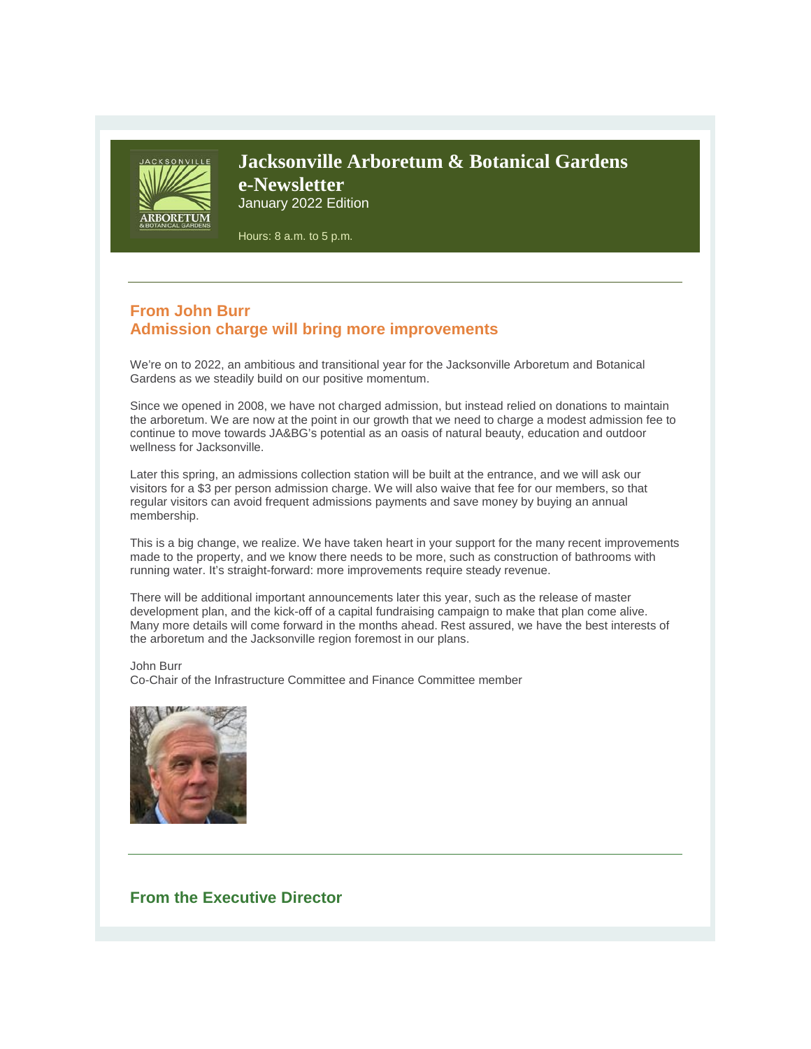

## **Jacksonville Arboretum & Botanical Gardens e-Newsletter** January 2022 Edition

Hours: 8 a.m. to 5 p.m.

## **From John Burr Admission charge will bring more improvements**

We're on to 2022, an ambitious and transitional year for the Jacksonville Arboretum and Botanical Gardens as we steadily build on our positive momentum.

Since we opened in 2008, we have not charged admission, but instead relied on donations to maintain the arboretum. We are now at the point in our growth that we need to charge a modest admission fee to continue to move towards JA&BG's potential as an oasis of natural beauty, education and outdoor wellness for Jacksonville.

Later this spring, an admissions collection station will be built at the entrance, and we will ask our visitors for a \$3 per person admission charge. We will also waive that fee for our members, so that regular visitors can avoid frequent admissions payments and save money by buying an annual membership.

This is a big change, we realize. We have taken heart in your support for the many recent improvements made to the property, and we know there needs to be more, such as construction of bathrooms with running water. It's straight-forward: more improvements require steady revenue.

There will be additional important announcements later this year, such as the release of master development plan, and the kick-off of a capital fundraising campaign to make that plan come alive. Many more details will come forward in the months ahead. Rest assured, we have the best interests of the arboretum and the Jacksonville region foremost in our plans.

John Burr

Co-Chair of the Infrastructure Committee and Finance Committee member



#### **From the Executive Director**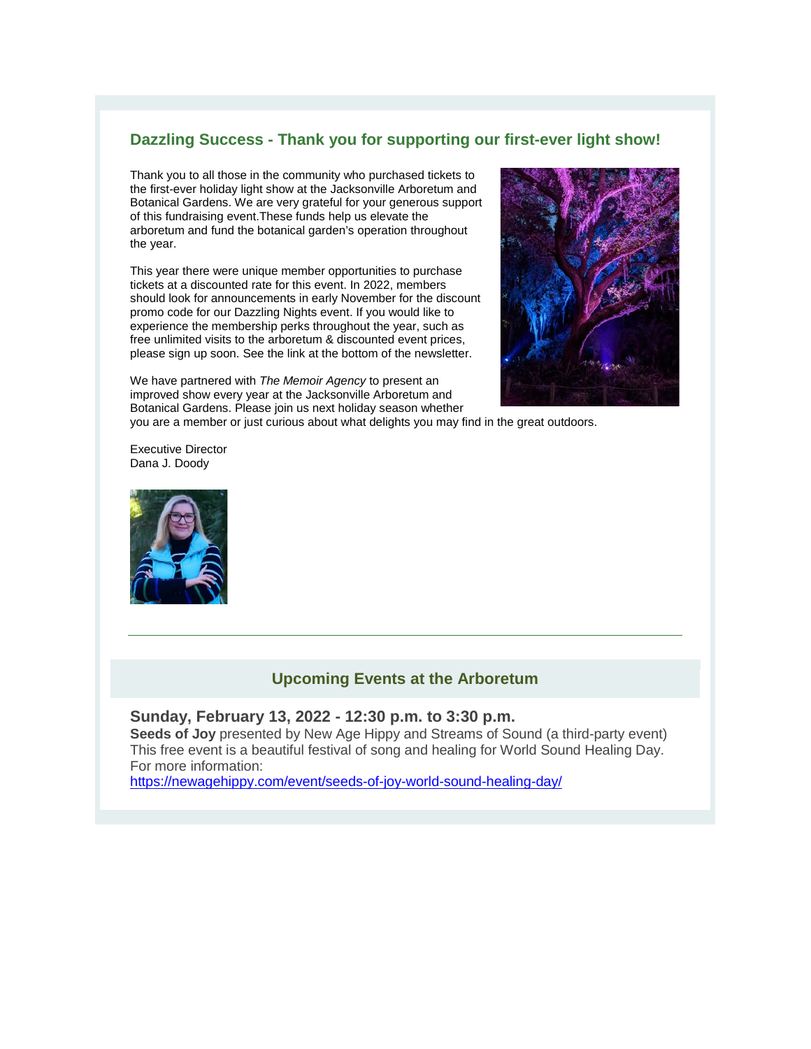### **Dazzling Success - Thank you for supporting our first-ever light show!**

Thank you to all those in the community who purchased tickets to the first-ever holiday light show at the Jacksonville Arboretum and Botanical Gardens. We are very grateful for your generous support of this fundraising event.These funds help us elevate the arboretum and fund the botanical garden's operation throughout the year.

This year there were unique member opportunities to purchase tickets at a discounted rate for this event. In 2022, members should look for announcements in early November for the discount promo code for our Dazzling Nights event. If you would like to experience the membership perks throughout the year, such as free unlimited visits to the arboretum & discounted event prices, please sign up soon. See the link at the bottom of the newsletter.



We have partnered with *The Memoir Agency* to present an improved show every year at the Jacksonville Arboretum and Botanical Gardens. Please join us next holiday season whether you are a member or just curious about what delights you may find in the great outdoors.

Executive Director Dana J. Doody



#### **Upcoming Events at the Arboretum**

#### **Sunday, February 13, 2022 - 12:30 p.m. to 3:30 p.m.**

**Seeds of Joy** presented by New Age Hippy and Streams of Sound (a third-party event) This free event is a beautiful festival of song and healing for World Sound Healing Day. For more information:

<https://newagehippy.com/event/seeds-of-joy-world-sound-healing-day/>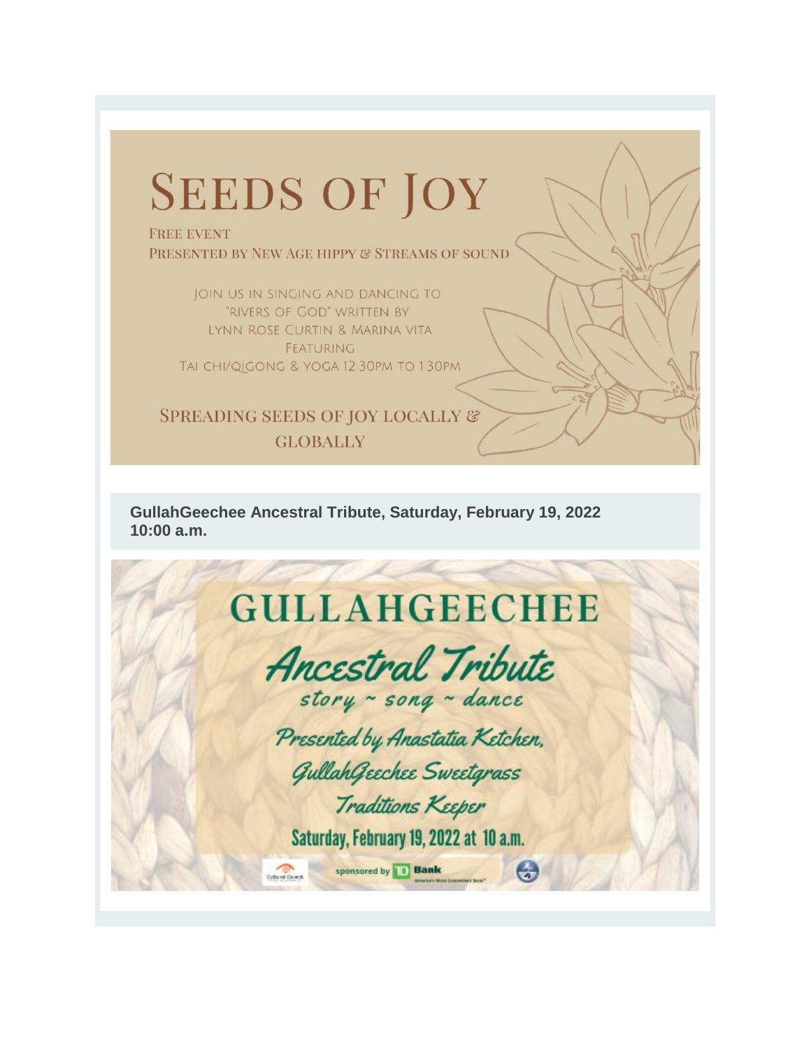# **SEEDS OF JOY**

**FREE EVENT** PRESENTED BY NEW AGE HIPPY & STREAMS OF SOUND

JOIN US IN SINGING AND DANCING TO 'RIVERS OF GOD" WRITTEN BY LYNN ROSE CURTIN & MARINA VITA FEATURING TAI CHI/QIGONG & YOGA 12:30PM TO 1:30PM

**SPREADING SEEDS OF JOY LOCALLY & GLOBALLY** 

**GullahGeechee Ancestral Tribute, Saturday, February 19, 2022 10:00 a.m.** 

## **GULLAHGEECHEE**

**Ancestral Tribute** story ~ song ~ dance

Presented by Anastatia Ketchen,

Gullah Geechee Sweetgrass

Traditions Keeper

Saturday, February 19, 2022 at 10 a.m.

sponsored by **Bank** 

 $Q$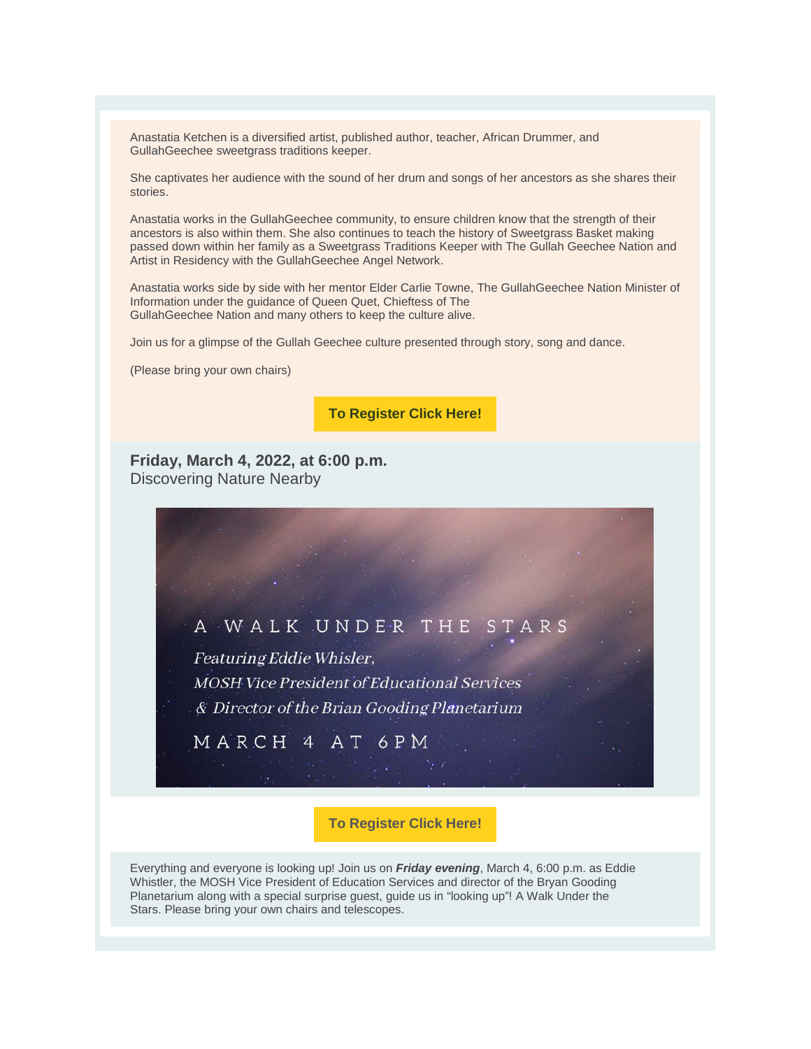Anastatia Ketchen is a diversified artist, published author, teacher, African Drummer, and GullahGeechee sweetgrass traditions keeper.

She captivates her audience with the sound of her drum and songs of her ancestors as she shares their stories.

Anastatia works in the GullahGeechee community, to ensure children know that the strength of their ancestors is also within them. She also continues to teach the history of Sweetgrass Basket making passed down within her family as a Sweetgrass Traditions Keeper with The Gullah Geechee Nation and Artist in Residency with the GullahGeechee Angel Network.

Anastatia works side by side with her mentor Elder Carlie Towne, The GullahGeechee Nation Minister of Information under the guidance of Queen Quet, Chieftess of The GullahGeechee Nation and many others to keep the culture alive.

Join us for a glimpse of the Gullah Geechee culture presented through story, song and dance.

(Please bring your own chairs)

**[To Register Click Here!](https://r20.rs6.net/tn.jsp?f=0010QgArD3GCFuM9Fqy_unjcYJh2Se2jRd3v_ughTQL9WcpBwnKZ6bp0GuoyB_napdB5jYqiZZoEby3ciGw7UoWneDbXzsAxuK1upqKRccfv5Usk5cy2hqTqm0x-yZ2JCjG3VgCkBrQyKSh16yqDj06Y2OqdLBZMbPzPzpC-kbO39qbNviniUFxvkMZAlT9SpEKvFTkekf73Jc=&c=7yyBZhr70U7Wd7dp7CMlxy0zvpyH6_Q4nTBuccQ2VrzOvGE-ve7Yvw==&ch=uzjd2sSPW-XYKmbaWRmqoa51xu1TYIZL_xLf38CL8IV3ILHXcjKnOw==)**

**Friday, March 4, 2022, at 6:00 p.m.** Discovering Nature Nearby

# A WALK UNDER THE Featuring Eddie Whisler, **MOSH Vice President of Educational Services** & Director of the Brian Gooding Planetarium MARCH 4 AT 6PM

**To Register Click Here!**

Everything and everyone is looking up! Join us on *Friday evening*, March 4, 6:00 p.m. as Eddie Whistler, the MOSH Vice President of Education Services and director of the Bryan Gooding Planetarium along with a special surprise guest, guide us in "looking up"! A Walk Under the Stars. Please bring your own chairs and telescopes.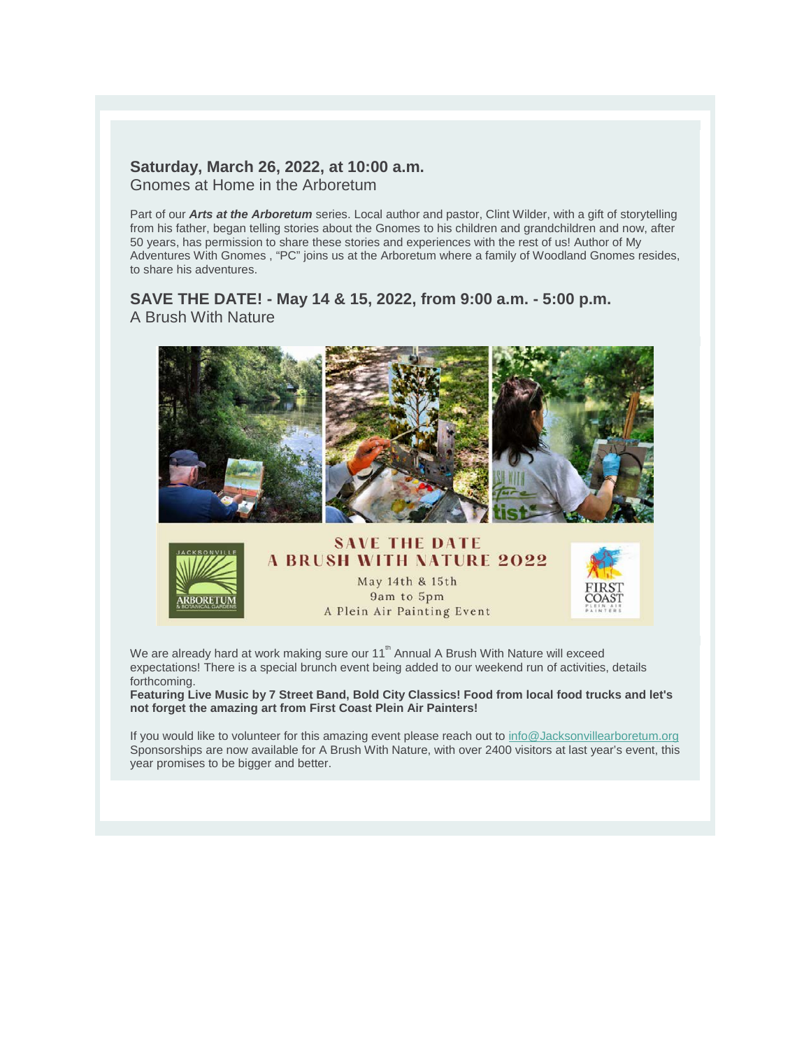#### **Saturday, March 26, 2022, at 10:00 a.m.** Gnomes at Home in the Arboretum

Part of our *Arts at the Arboretum* series. Local author and pastor, Clint Wilder, with a gift of storytelling from his father, began telling stories about the Gnomes to his children and grandchildren and now, after 50 years, has permission to share these stories and experiences with the rest of us! Author of My Adventures With Gnomes , "PC" joins us at the Arboretum where a family of Woodland Gnomes resides, to share his adventures.

### **SAVE THE DATE! - May 14 & 15, 2022, from 9:00 a.m. - 5:00 p.m.** A Brush With Nature





### **A BRUSH WITH NATURE 2022** May 14th & 15th 9am to 5pm A Plein Air Painting Event



We are already hard at work making sure our  $11<sup>th</sup>$  Annual A Brush With Nature will exceed expectations! There is a special brunch event being added to our weekend run of activities, details forthcoming.

**Featuring Live Music by 7 Street Band, Bold City Classics! Food from local food trucks and let's not forget the amazing art from First Coast Plein Air Painters!**

If you would like to volunteer for this amazing event please reach out to [info@Jacksonvillearboretum.org](mailto:info@Jacksonvillearboretum.org) Sponsorships are now available for A Brush With Nature, with over 2400 visitors at last year's event, this year promises to be bigger and better.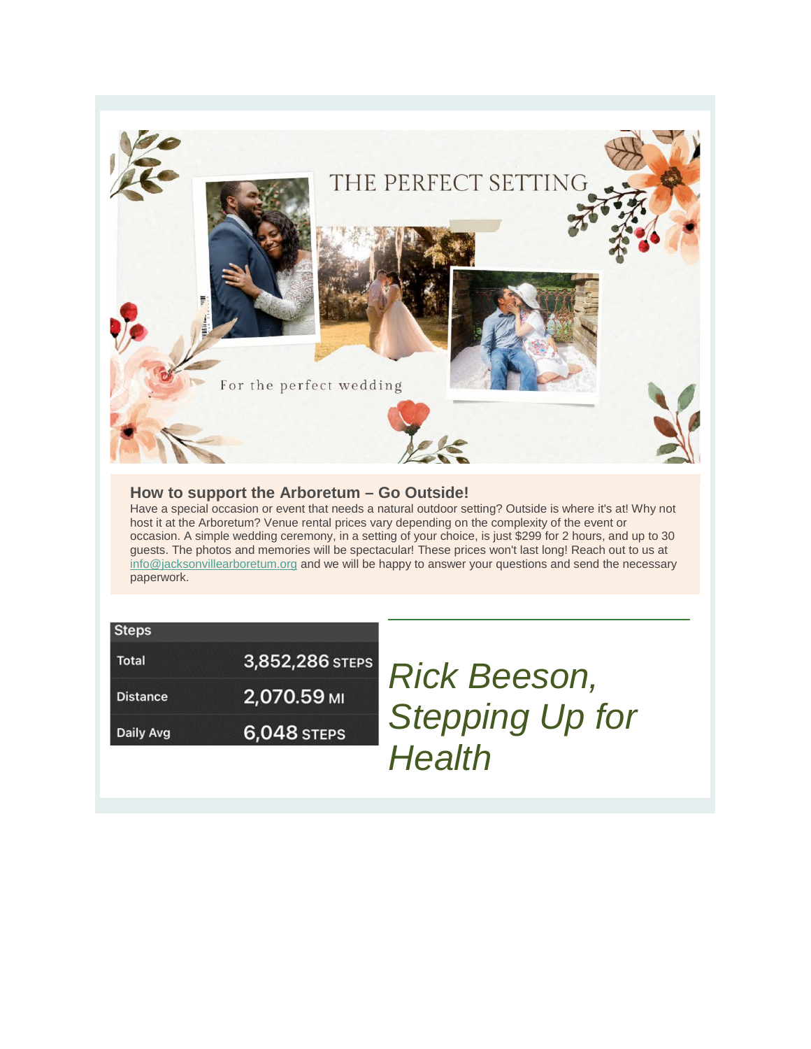

#### **How to support the Arboretum – Go Outside!**

Have a special occasion or event that needs a natural outdoor setting? Outside is where it's at! Why not host it at the Arboretum? Venue rental prices vary depending on the complexity of the event or occasion. A simple wedding ceremony, in a setting of your choice, is just \$299 for 2 hours, and up to 30 guests. The photos and memories will be spectacular! These prices won't last long! Reach out to us at [info@jacksonvillearboretum.org](mailto:info@jacksonvillearboretum.org) and we will be happy to answer your questions and send the necessary paperwork.

| <b>Steps</b>    |                 |
|-----------------|-----------------|
| Total           | 3,852,286 STEPS |
| <b>Distance</b> | 2,070.59 MI     |
| Daily Avg       | 6,048 STEPS     |

*Rick Beeson, Stepping Up for Health*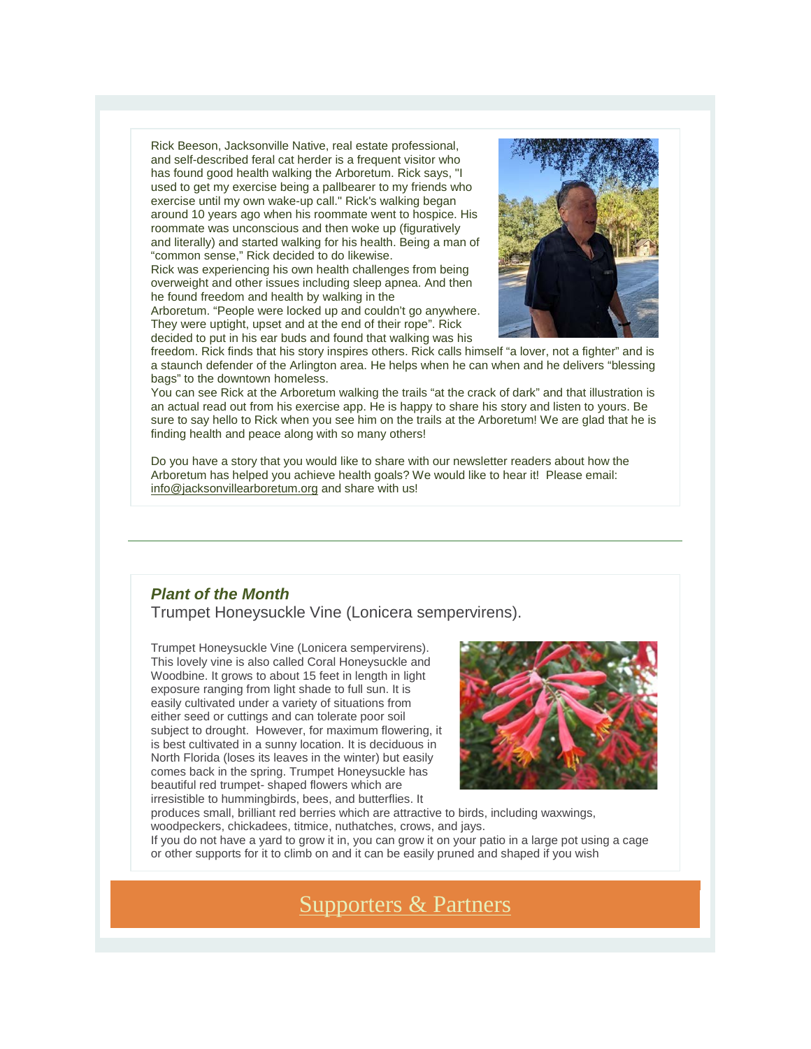Rick Beeson, Jacksonville Native, real estate professional, and self-described feral cat herder is a frequent visitor who has found good health walking the Arboretum. Rick says, "I used to get my exercise being a pallbearer to my friends who exercise until my own wake-up call." Rick's walking began around 10 years ago when his roommate went to hospice. His roommate was unconscious and then woke up (figuratively and literally) and started walking for his health. Being a man of "common sense," Rick decided to do likewise.

Rick was experiencing his own health challenges from being overweight and other issues including sleep apnea. And then he found freedom and health by walking in the

Arboretum. "People were locked up and couldn't go anywhere. They were uptight, upset and at the end of their rope". Rick decided to put in his ear buds and found that walking was his



freedom. Rick finds that his story inspires others. Rick calls himself "a lover, not a fighter" and is a staunch defender of the Arlington area. He helps when he can when and he delivers "blessing bags" to the downtown homeless.

You can see Rick at the Arboretum walking the trails "at the crack of dark" and that illustration is an actual read out from his exercise app. He is happy to share his story and listen to yours. Be sure to say hello to Rick when you see him on the trails at the Arboretum! We are glad that he is finding health and peace along with so many others!

Do you have a story that you would like to share with our newsletter readers about how the Arboretum has helped you achieve health goals? We would like to hear it! Please email: [info@jacksonvillearboretum.org](mailto:info@jacksonvillearboretum.org) and share with us!

### *Plant of the Month*

Trumpet Honeysuckle Vine (Lonicera sempervirens).

Trumpet Honeysuckle Vine (Lonicera sempervirens). This lovely vine is also called Coral Honeysuckle and Woodbine. It grows to about 15 feet in length in light exposure ranging from light shade to full sun. It is easily cultivated under a variety of situations from either seed or cuttings and can tolerate poor soil subject to drought. However, for maximum flowering, it is best cultivated in a sunny location. It is deciduous in North Florida (loses its leaves in the winter) but easily comes back in the spring. Trumpet Honeysuckle has beautiful red trumpet- shaped flowers which are irresistible to hummingbirds, bees, and butterflies. It



produces small, brilliant red berries which are attractive to birds, including waxwings, woodpeckers, chickadees, titmice, nuthatches, crows, and jays. If you do not have a yard to grow it in, you can grow it on your patio in a large pot using a cage or other supports for it to climb on and it can be easily pruned and shaped if you wish

## [Supporters & Partners](https://r20.rs6.net/tn.jsp?f=0010QgArD3GCFuM9Fqy_unjcYJh2Se2jRd3v_ughTQL9WcpBwnKZ6bp0D6xgteI3jxAhBGIYxpOvNPK-cjCcZVP-_O33eT0TtGSA8EToTW5QkHwiRA012TcswuIr4ftHZEJq7VXzqxR5J6gU-OBpRGD-gEp6QzUsmg2A72oLJahjGPZekqIsotI6g==&c=7yyBZhr70U7Wd7dp7CMlxy0zvpyH6_Q4nTBuccQ2VrzOvGE-ve7Yvw==&ch=uzjd2sSPW-XYKmbaWRmqoa51xu1TYIZL_xLf38CL8IV3ILHXcjKnOw==)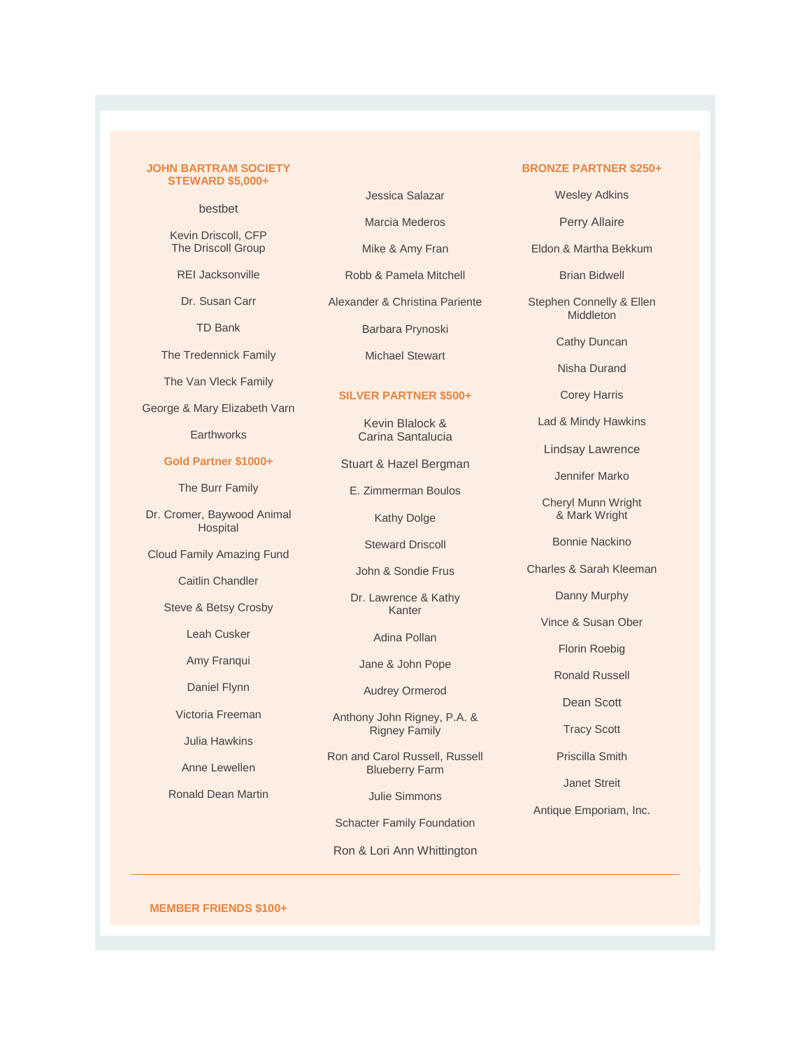#### **JOHN BARTRAM SOCIETY STEWARD \$5,000+**

bestbet

Kevin Driscoll, CFP The Driscoll Group

REI Jacksonville

Dr. Susan Carr

TD Bank

The Tredennick Family

The Van Vleck Family

George & Mary Elizabeth Varn

**Earthworks** 

#### **Gold Partner \$1000+**

The Burr Family

Dr. Cromer, Baywood Animal **Hospital** 

Cloud Family Amazing Fund

#### Caitlin Chandler

Steve & Betsy Crosby

Leah Cusker

Amy Franqui

Daniel Flynn Victoria Freeman

Julia Hawkins

Anne Lewellen

Ronald Dean Martin

Marcia Mederos

Jessica Salazar

Mike & Amy Fran

Robb & Pamela Mitchell

Alexander & Christina Pariente

Barbara Prynoski

Michael Stewart

#### **SILVER PARTNER \$500+**

Kevin Blalock & Carina Santalucia

Stuart & Hazel Bergman

E. Zimmerman Boulos

Kathy Dolge

Steward Driscoll

John & Sondie Frus

Dr. Lawrence & Kathy Kanter

Adina Pollan

Jane & John Pope

Audrey Ormerod

Anthony John Rigney, P.A. & Rigney Family

Ron and Carol Russell, Russell Blueberry Farm

Julie Simmons

Schacter Family Foundation

Ron & Lori Ann Whittington

#### **BRONZE PARTNER \$250+**

Wesley Adkins

Perry Allaire

Eldon & Martha Bekkum

Brian Bidwell

Stephen Connelly & Ellen **Middleton** 

Cathy Duncan

Nisha Durand

Corey Harris

Lad & Mindy Hawkins

Lindsay Lawrence

Jennifer Marko

Cheryl Munn Wright & Mark Wright

Bonnie Nackino

Charles & Sarah Kleeman

Danny Murphy

Vince & Susan Ober

Florin Roebig

Ronald Russell

Dean Scott

Tracy Scott

Priscilla Smith

Janet Streit

Antique Emporiam, Inc.

**MEMBER FRIENDS \$100+**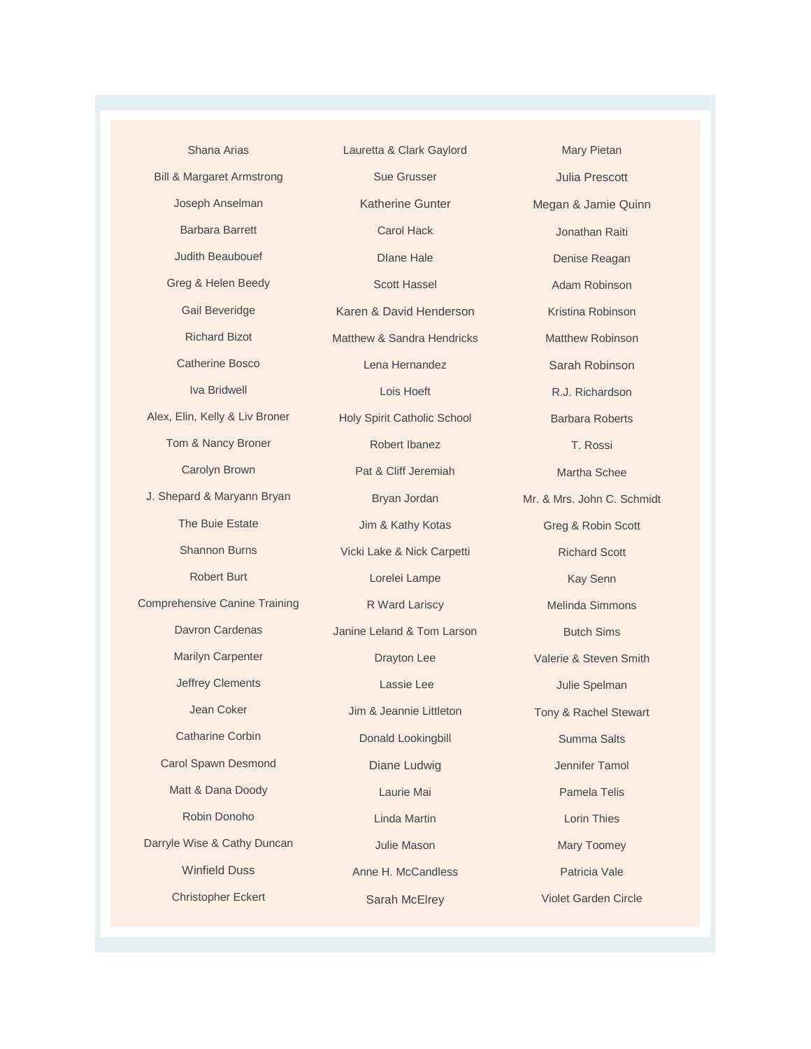Shana Arias Bill & Margaret Armstrong Joseph Anselman Barbara Barrett Judith Beaubouef Greg & Helen Beedy Gail Beveridge Richard Bizot Catherine Bosco Iva Bridwell Alex, Elin, Kelly & Liv Broner Tom & Nancy Broner Carolyn Brown J. Shepard & Maryann Bryan The Buie Estate Shannon Burns Robert Burt Comprehensive Canine Training Davron Cardenas Marilyn Carpenter Jeffrey Clements Jean Coker Catharine Corbin Carol Spawn Desmond Matt & Dana Doody Robin Donoho Darryle Wise & Cathy Duncan Winfield Duss Christopher Eckert

Lauretta & Clark Gaylord Sue Grusser Katherine Gunter Carol Hack DIane Hale Scott Hassel Karen & David Henderson Matthew & Sandra Hendricks Lena Hernandez Lois Hoeft Holy Spirit Catholic School Robert Ibanez Pat & Cliff Jeremiah Bryan Jordan Jim & Kathy Kotas Vicki Lake & Nick Carpetti Lorelei Lampe R Ward Lariscy Janine Leland & Tom Larson Drayton Lee Lassie Lee Jim & Jeannie Littleton Donald Lookingbill Diane Ludwig Laurie Mai Linda Martin Julie Mason Anne H. McCandless Sarah McElrey

Mary Pietan Julia Prescott Megan & Jamie Quinn Jonathan Raiti Denise Reagan Adam Robinson Kristina Robinson Matthew Robinson Sarah Robinson R.J. Richardson Barbara Roberts T. Rossi Martha Schee Mr. & Mrs. John C. Schmidt Greg & Robin Scott Richard Scott Kay Senn Melinda Simmons Butch Sims Valerie & Steven Smith Julie Spelman Tony & Rachel Stewart Summa Salts Jennifer Tamol Pamela Telis Lorin Thies Mary Toomey Patricia Vale Violet Garden Circle